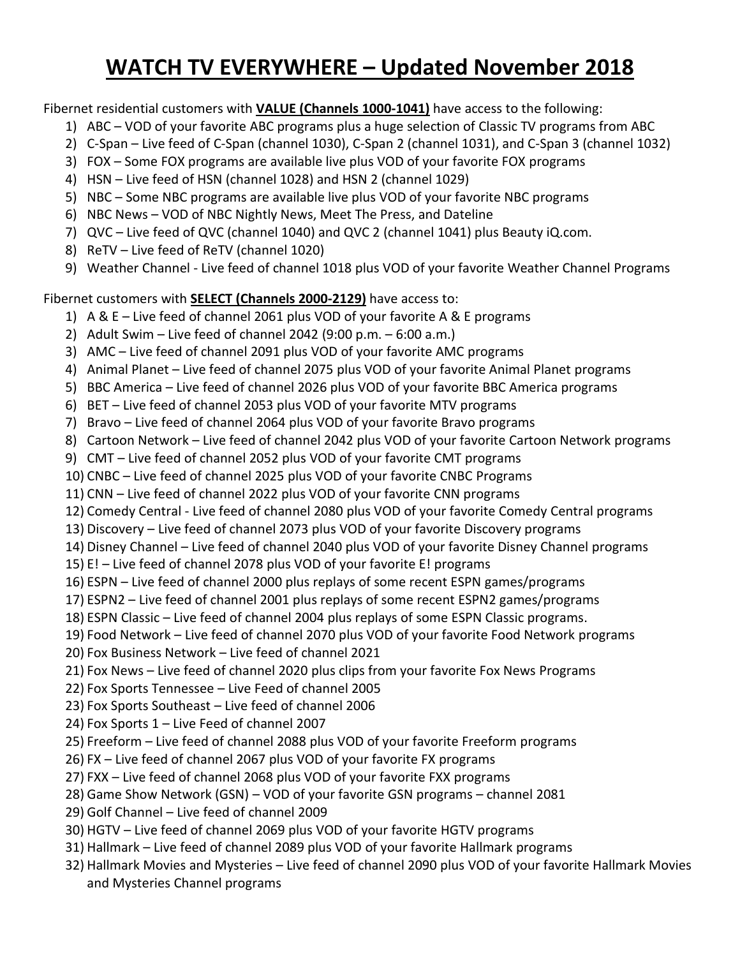## **WATCH TV EVERYWHERE – Updated November 2018**

Fibernet residential customers with **VALUE (Channels 1000-1041)** have access to the following:

- 1) ABC VOD of your favorite ABC programs plus a huge selection of Classic TV programs from ABC
- 2) C-Span Live feed of C-Span (channel 1030), C-Span 2 (channel 1031), and C-Span 3 (channel 1032)
- 3) FOX Some FOX programs are available live plus VOD of your favorite FOX programs
- 4) HSN Live feed of HSN (channel 1028) and HSN 2 (channel 1029)
- 5) NBC Some NBC programs are available live plus VOD of your favorite NBC programs
- 6) NBC News VOD of NBC Nightly News, Meet The Press, and Dateline
- 7) QVC Live feed of QVC (channel 1040) and QVC 2 (channel 1041) plus Beauty iQ.com.
- 8) ReTV Live feed of ReTV (channel 1020)
- 9) Weather Channel Live feed of channel 1018 plus VOD of your favorite Weather Channel Programs

Fibernet customers with **SELECT (Channels 2000-2129)** have access to:

- 1) A & E Live feed of channel 2061 plus VOD of your favorite A & E programs
- 2) Adult Swim Live feed of channel 2042 (9:00 p.m. 6:00 a.m.)
- 3) AMC Live feed of channel 2091 plus VOD of your favorite AMC programs
- 4) Animal Planet Live feed of channel 2075 plus VOD of your favorite Animal Planet programs
- 5) BBC America Live feed of channel 2026 plus VOD of your favorite BBC America programs
- 6) BET Live feed of channel 2053 plus VOD of your favorite MTV programs
- 7) Bravo Live feed of channel 2064 plus VOD of your favorite Bravo programs
- 8) Cartoon Network Live feed of channel 2042 plus VOD of your favorite Cartoon Network programs
- 9) CMT Live feed of channel 2052 plus VOD of your favorite CMT programs
- 10) CNBC Live feed of channel 2025 plus VOD of your favorite CNBC Programs
- 11) CNN Live feed of channel 2022 plus VOD of your favorite CNN programs
- 12) Comedy Central Live feed of channel 2080 plus VOD of your favorite Comedy Central programs
- 13) Discovery Live feed of channel 2073 plus VOD of your favorite Discovery programs
- 14) Disney Channel Live feed of channel 2040 plus VOD of your favorite Disney Channel programs
- 15) E! Live feed of channel 2078 plus VOD of your favorite E! programs
- 16) ESPN Live feed of channel 2000 plus replays of some recent ESPN games/programs
- 17) ESPN2 Live feed of channel 2001 plus replays of some recent ESPN2 games/programs
- 18) ESPN Classic Live feed of channel 2004 plus replays of some ESPN Classic programs.
- 19) Food Network Live feed of channel 2070 plus VOD of your favorite Food Network programs
- 20) Fox Business Network Live feed of channel 2021
- 21) Fox News Live feed of channel 2020 plus clips from your favorite Fox News Programs
- 22) Fox Sports Tennessee Live Feed of channel 2005
- 23) Fox Sports Southeast Live feed of channel 2006
- 24) Fox Sports 1 Live Feed of channel 2007
- 25) Freeform Live feed of channel 2088 plus VOD of your favorite Freeform programs
- 26) FX Live feed of channel 2067 plus VOD of your favorite FX programs
- 27) FXX Live feed of channel 2068 plus VOD of your favorite FXX programs
- 28) Game Show Network (GSN) VOD of your favorite GSN programs channel 2081
- 29) Golf Channel Live feed of channel 2009
- 30) HGTV Live feed of channel 2069 plus VOD of your favorite HGTV programs
- 31) Hallmark Live feed of channel 2089 plus VOD of your favorite Hallmark programs
- 32) Hallmark Movies and Mysteries Live feed of channel 2090 plus VOD of your favorite Hallmark Movies and Mysteries Channel programs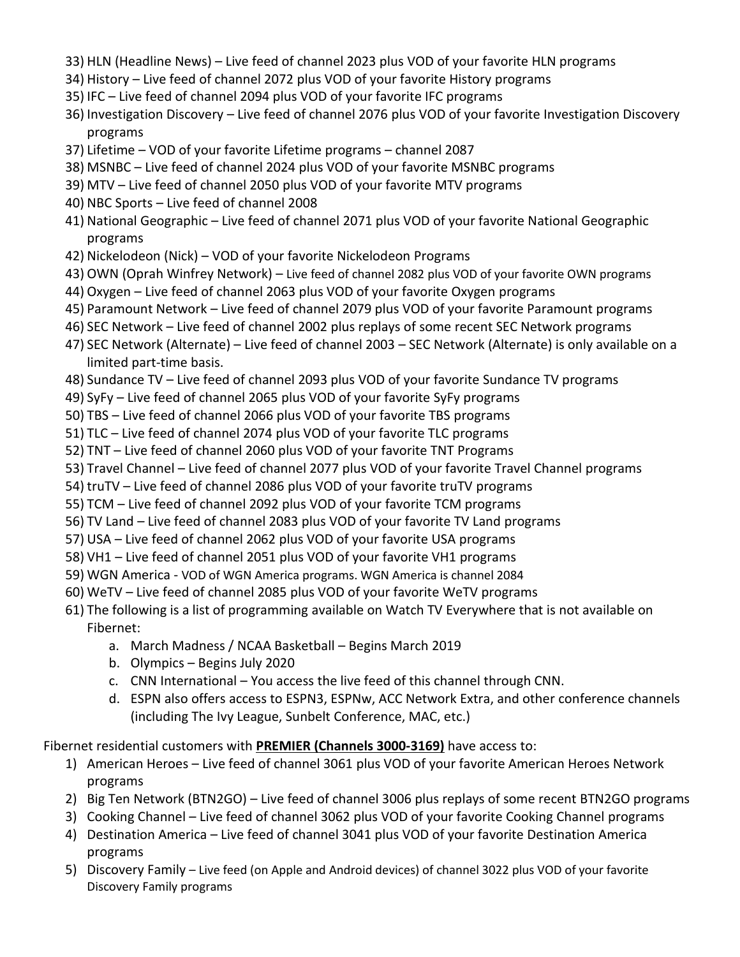- 33) HLN (Headline News) Live feed of channel 2023 plus VOD of your favorite HLN programs
- 34) History Live feed of channel 2072 plus VOD of your favorite History programs
- 35) IFC Live feed of channel 2094 plus VOD of your favorite IFC programs
- 36) Investigation Discovery Live feed of channel 2076 plus VOD of your favorite Investigation Discovery programs
- 37) Lifetime VOD of your favorite Lifetime programs channel 2087
- 38) MSNBC Live feed of channel 2024 plus VOD of your favorite MSNBC programs
- 39) MTV Live feed of channel 2050 plus VOD of your favorite MTV programs
- 40) NBC Sports Live feed of channel 2008
- 41) National Geographic Live feed of channel 2071 plus VOD of your favorite National Geographic programs
- 42) Nickelodeon (Nick) VOD of your favorite Nickelodeon Programs
- 43) OWN (Oprah Winfrey Network) Live feed of channel 2082 plus VOD of your favorite OWN programs
- 44) Oxygen Live feed of channel 2063 plus VOD of your favorite Oxygen programs
- 45) Paramount Network Live feed of channel 2079 plus VOD of your favorite Paramount programs
- 46) SEC Network Live feed of channel 2002 plus replays of some recent SEC Network programs
- 47) SEC Network (Alternate) Live feed of channel 2003 SEC Network (Alternate) is only available on a limited part-time basis.
- 48) Sundance TV Live feed of channel 2093 plus VOD of your favorite Sundance TV programs
- 49) SyFy Live feed of channel 2065 plus VOD of your favorite SyFy programs
- 50) TBS Live feed of channel 2066 plus VOD of your favorite TBS programs
- 51) TLC Live feed of channel 2074 plus VOD of your favorite TLC programs
- 52) TNT Live feed of channel 2060 plus VOD of your favorite TNT Programs
- 53) Travel Channel Live feed of channel 2077 plus VOD of your favorite Travel Channel programs
- 54) truTV Live feed of channel 2086 plus VOD of your favorite truTV programs
- 55) TCM Live feed of channel 2092 plus VOD of your favorite TCM programs
- 56) TV Land Live feed of channel 2083 plus VOD of your favorite TV Land programs
- 57) USA Live feed of channel 2062 plus VOD of your favorite USA programs
- 58) VH1 Live feed of channel 2051 plus VOD of your favorite VH1 programs
- 59) WGN America VOD of WGN America programs. WGN America is channel 2084
- 60) WeTV Live feed of channel 2085 plus VOD of your favorite WeTV programs
- 61) The following is a list of programming available on Watch TV Everywhere that is not available on Fibernet:
	- a. March Madness / NCAA Basketball Begins March 2019
	- b. Olympics Begins July 2020
	- c. CNN International You access the live feed of this channel through CNN.
	- d. ESPN also offers access to ESPN3, ESPNw, ACC Network Extra, and other conference channels (including The Ivy League, Sunbelt Conference, MAC, etc.)

Fibernet residential customers with **PREMIER (Channels 3000-3169)** have access to:

- 1) American Heroes Live feed of channel 3061 plus VOD of your favorite American Heroes Network programs
- 2) Big Ten Network (BTN2GO) Live feed of channel 3006 plus replays of some recent BTN2GO programs
- 3) Cooking Channel Live feed of channel 3062 plus VOD of your favorite Cooking Channel programs
- 4) Destination America Live feed of channel 3041 plus VOD of your favorite Destination America programs
- 5) Discovery Family Live feed (on Apple and Android devices) of channel 3022 plus VOD of your favorite Discovery Family programs